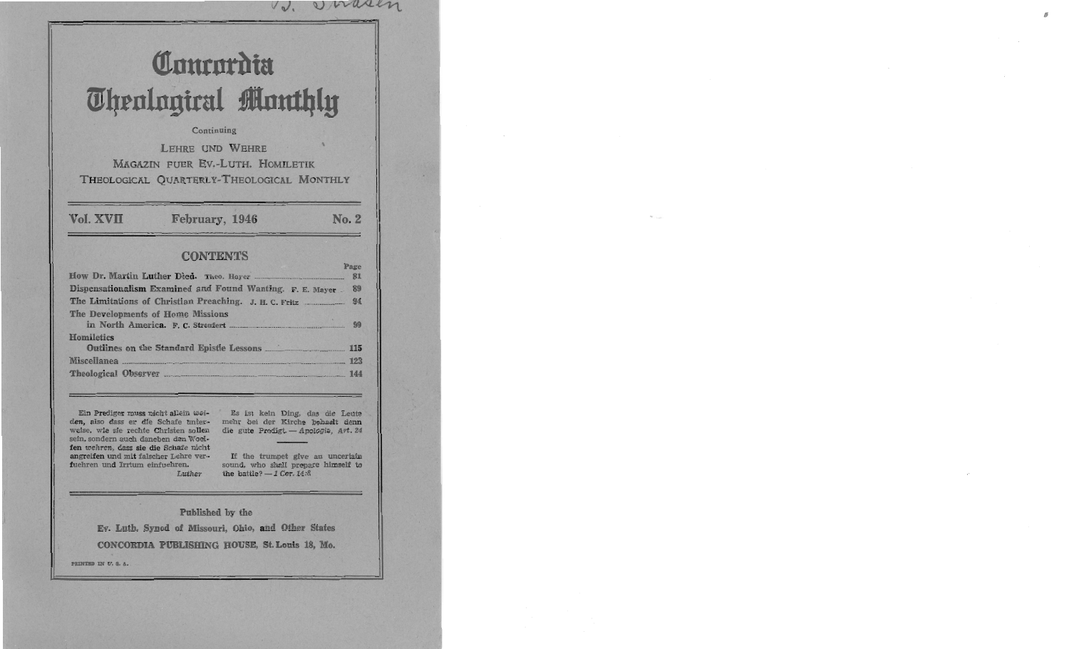# Concordia **Theological Monthly**

#### Continuing

**LEHRE UND WEHRE** MAGAZIN FUER EV.-LUTH. HOMILETIK THEOLOGICAL QUARTERLY-THEOLOGICAL MONTHLY

Vol. XVII

February, 1946

No. 2

### **CONTENTS**

| Dispensationalism Examined and Found Wanting. F. E. Mayer  89                                                  |  |
|----------------------------------------------------------------------------------------------------------------|--|
|                                                                                                                |  |
| The Developments of Home Missions                                                                              |  |
| Homiletics                                                                                                     |  |
| Outlines on the Standard Epistle Lessons 2115                                                                  |  |
| Miscellanea 23 ann an t-Italia ann an t-Italia ann an t-Italia ann an t-Italia ann an t-Italia ann an t-Italia |  |
|                                                                                                                |  |

Ein Prediger muss nicht allein wei- Es ist kein Ding, das die Leute den, also dass er die Schafe unterweise, wie sie rechte Christen sollen sein, sondern auch daneben den Woelfen wehren, dass sie die Schafe nicht angreifen und mit falscher Lehre verfuehren und Irrtum einfuehren. Luther

mehr bei der Kirche behaelt denn die gute Predigt. - Apologie, Art. 24

If the trumpet give an uncertain sound, who shall prepare himself to the battle?  $-1$  Cor. 14:8

Published by the

Ev. Luth. Synod of Missouri, Ohio, and Other States CONCORDIA PUBLISHING HOUSE, St. Louis 18, Mo.

PRINTED IN U.S.A.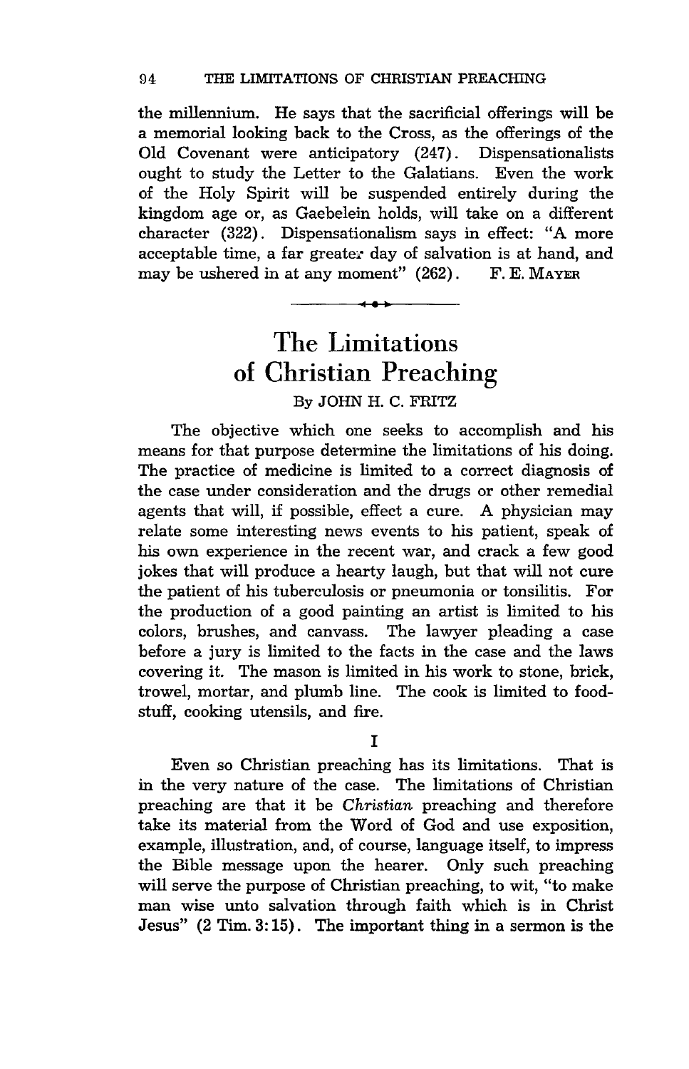the millennium. He says that the sacrificial offerings will be a memorial looking back to the Cross, as the offerings of the Old Covenant were anticipatory (247). Dispensationalists ought to study the Letter to the Galatians. Even the work of the Holy Spirit will be suspended entirely during the kingdom age or, as Gaebelein holds, will take on a different character (322). Dispensationalism says in effect: "A more acceptable time, a far greater day of salvation is at hand, and may be ushered in at any moment"  $(262)$ . F. E. MAYER may be ushered in at any moment"  $(262)$ .

## The Limitations **of** Christian Preaching By JOHN H. C. FRITZ

The objective which one seeks to accomplish and his means for that purpose determine the limitations of his doing. The practice of medicine is limited to a correct diagnosis of the case under consideration and the drugs or other remedial agents that will, if possible, effect a cure. A physician may relate some interesting news events to his patient, speak of his own experience in the recent war, and crack a few good jokes that will produce a hearty laugh, but that will not cure the patient of his tuberculosis or pneumonia or tonsilitis. For the production of a good painting an artist is limited to his colors, brushes, and canvass. The lawyer pleading a case before a jury is limited to the facts in the case and the laws covering it. The mason is limited in his work to stone, brick, trowel, mortar, and plumb line. The cook is limited to foodstuff, cooking utensils, and fire.

I

Even so Christian preaching has its limitations. That is in the very nature of the case. The limitations of Christian preaching are that it be *Christian* preaching and therefore take its material from the Word of God and use exposition, example, illustration, and, of course, language itself, to impress the Bible message upon the hearer. Only such preaching will serve the purpose of Christian preaching, to wit, "to make man wise unto salvation through faith which is in Christ Jesus" (2 Tim. 3: 15) . The important thing in a sermon is the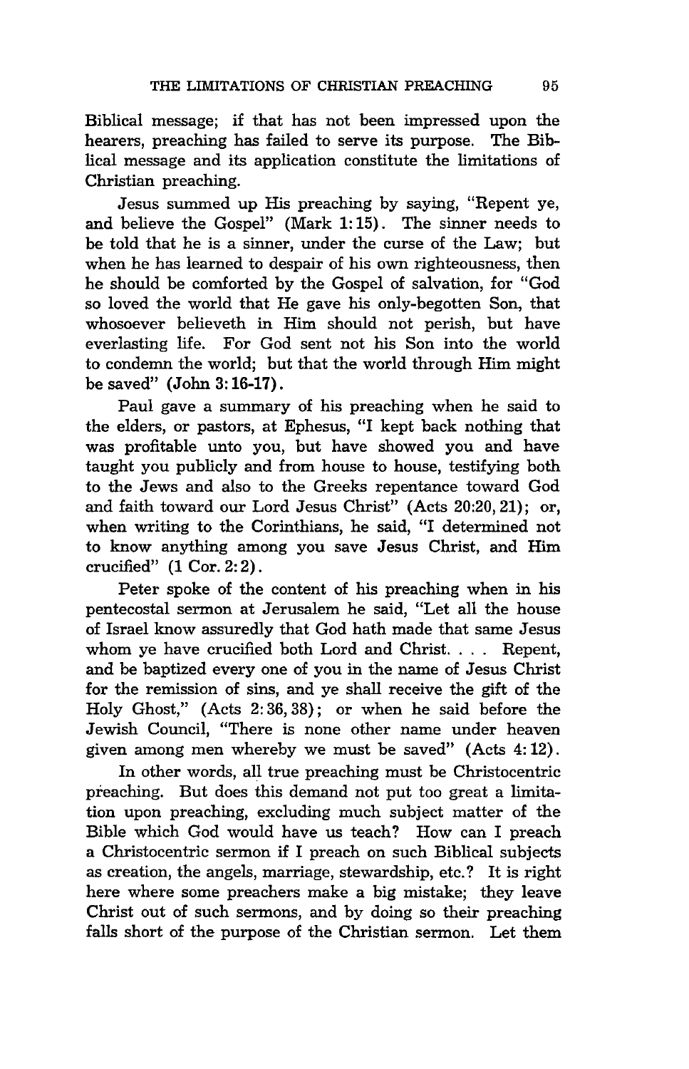Biblical message; if that has not been impressed upon the hearers, preaching has failed to serve its purpose. The Biblical message and its application constitute the limitations of Christian preaching.

Jesus summed up His preaching by saying, "Repent ye, and believe the Gospel" (Mark 1: 15) . The sinner needs to be told that he is a sinner, under the curse of the Law; but when he has learned to despair of his own righteousness, then he should be comforted by the Gospel of salvation, for "God so loved the world that He gave his only-begotten Son, that whosoever believeth in Him should not perish, but have everlasting life. For God sent not his Son into the world to condemn the world; but that the world through Him might be saved" (John 3: 16-17).

Paul gave a summary of his preaching when he said to the elders, or pastors, at Ephesus, "I kept back nothing that was profitable unto you, but have showed you and have taught you publicly and from house to house, testifying both to the Jews and also to the Greeks repentance toward God and faith toward our Lord Jesus Christ" (Acts 20:20,21); or, when writing to the Corinthians, he said, "I determined not to know anything among you save Jesus Christ, and Him crucified" (1 Cor. 2: 2) .

Peter spoke of the content of his preaching when in his pentecostal sermon at Jerusalem he said, "Let all the house of Israel know assuredly that God hath made that same Jesus whom ye have crucified both Lord and Christ. . . . Repent, and be baptized every one of you in the name of Jesus Christ for the remission of sins, and ye shall receive the gift of the Holy Ghost," (Acts 2: 36,38); or when he said before the Jewish Council, "There is none other name under heaven given among men whereby we must be saved" (Acts 4: l2) .

In other words, all true preaching must be Christocentric preaching. But does this demand not put too great a limitation upon preaching, excluding much subject matter of the Bible which God would have us teach? How can I preach a Christocentric sermon if I preach on such Biblical subjects as creation, the angels, marriage, stewardship, etc.? It is right here where some preachers make a big mistake; they leave Christ out of such sermons, and by doing so their preaching falls short of the purpose of the Christian sermon. Let them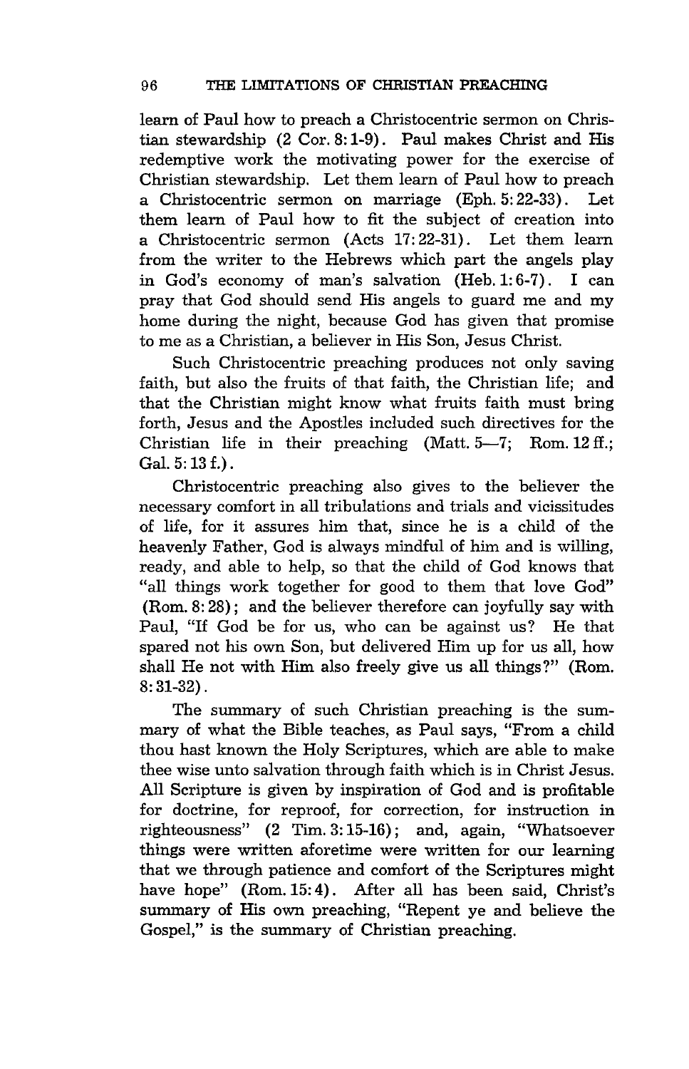learn of Paul how to preach a Christocentric sermon on Christian stewardship (2 Cor. 8: 1-9). Paul makes Christ and His redemptive work the motivating power for the exercise of Christian stewardship. Let them learn of Paul how to preach a Christocentric sermon on marriage (Eph. 5: 22-33). Let them learn of Paul how to fit the subject of creation into a Christocentric sermon (Acts 17:22-31). Let them learn from the writer to the Hebrews which part the angels play in God's economy of man's salvation (Heb. 1: 6-7) . I can pray that God should send His angels to guard me and my home during the night, because God has given that promise to me as a Christian, a believer in His Son, Jesus Christ.

Such Christocentric preaching produces not only saving faith, but also the fruits of that faith, the Christian life; and that the Christian might know what fruits faith must bring forth, Jesus and the Apostles included such directives for the Christian life in their preaching (Matt.  $5-7$ ; Rom.  $12 \text{ ff.};$ Gal. 5: 13 f.) .

Christocentric preaching also gives to the believer the necessary comfort in all tribulations and trials and vicissitudes of life, for it assures him that, since he is a child of the heavenly Father, God is always mindful of him and is willing, ready, and able to help, so that the child of God knows that "all things work together for good to them that love God" (Rom. 8: 28); and the believer therefore can joyfully say with Paul, "If God be for us, who can be against us? He that spared not his own Son, but delivered Him up for us all, how shall He not with Him also freely give us all things?" (Rom. 8: 31-32).

The summary of such Christian preaching is the summary of what the Bible teaches, as Paul says, "From a child thou hast known the Holy Scriptures, which are able to make thee wise unto salvation through faith which is in Christ Jesus. All Scripture is given by inspiration of God and is profitable for doctrine, for reproof, for correction, for instruction in righteousness" (2 Tim. 3: 15-16) ; and, again, "Whatsoever things were written aforetime were written for our learning that we through patience and comfort of the Scriptures might have hope" (Rom. 15:4). After all has been said, Christ's summary of His own preaching, "Repent ye and believe the Gospel," is the summary of Christian preaching.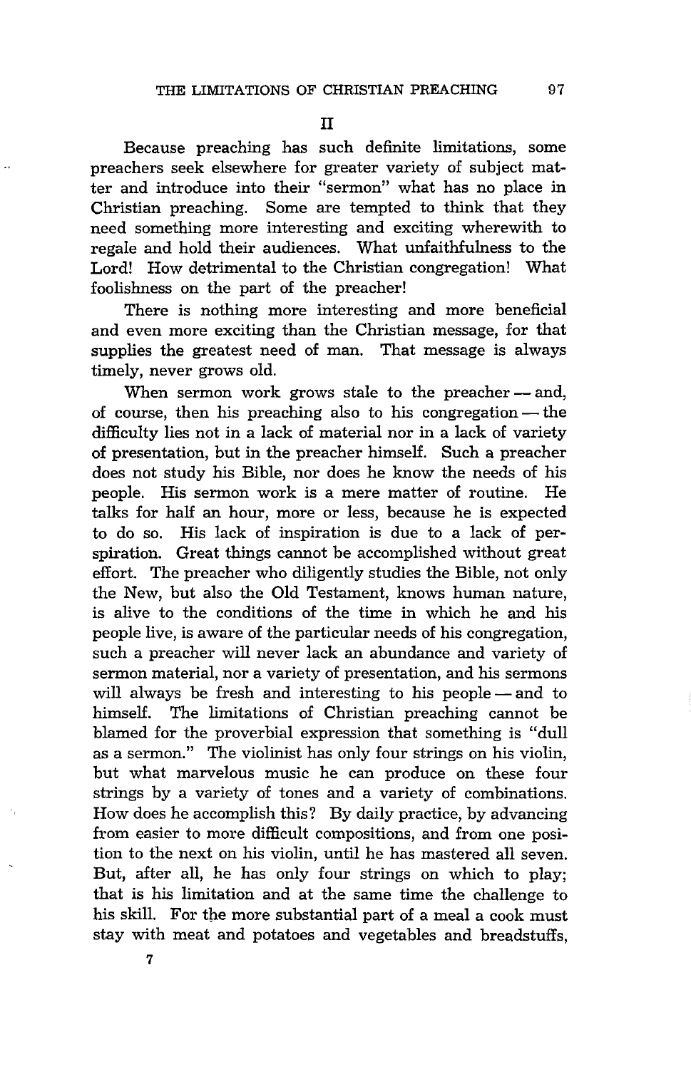Because preaching has such definite limitations, some preachers seek elsewhere for greater variety of subject matter and introduce into their "sermon" what has no place in Christian preaching. Some are tempted to think that they need something more interesting and exciting wherewith to regale and hold their audiences. What unfaithfulness to the Lord! How detrimental to the Christian congregation! What foolishness on the part of the preacher!

There is nothing more interesting and more beneficial and even more exciting than the Christian message, for that supplies the greatest need of man. That message is always timely, never grows old.

When sermon work grows stale to the preacher - and, of course, then his preaching also to his congregation  $-$  the difficulty lies not in a lack of material nor in a lack of variety of presentation, but in the preacher himself. Such a preacher does not study his Bible, nor does he know the needs of his people. His sermon work is a mere matter of routine. He talks for half an hour, more or less, because he is expected to do so. His lack of inspiration is due to a lack of perspiration. Great things cannot be accomplished without great effort. The preacher who diligently studies the Bible, not only the New, but also the Old Testament, knows human nature, is alive to the conditions of the time in which he and his people live, is aware of the particular needs of his congregation, such a preacher will never lack an abundance and variety of sermon material, nor a variety of presentation, and his sermons will always be fresh and interesting to his people - and to himself. The limitations of Christian preaching cannot be blamed for the proverbial expression that something is "dull as a sermon." The violinist has only four strings on his violin, but what marvelous music he can produce on these four strings by a variety of tones and a variety of combinations. How does he accomplish this? By daily practice, by advancing from easier to more difficult compositions, and from one position to the next on his violin, until he has mastered all seven. But, after all, he has only four strings on which to play; that is his limitation and at the same time the challenge to his skill. For the more substantial part of a meal a cook must stay with meat and potatoes and vegetables and breadstuffs,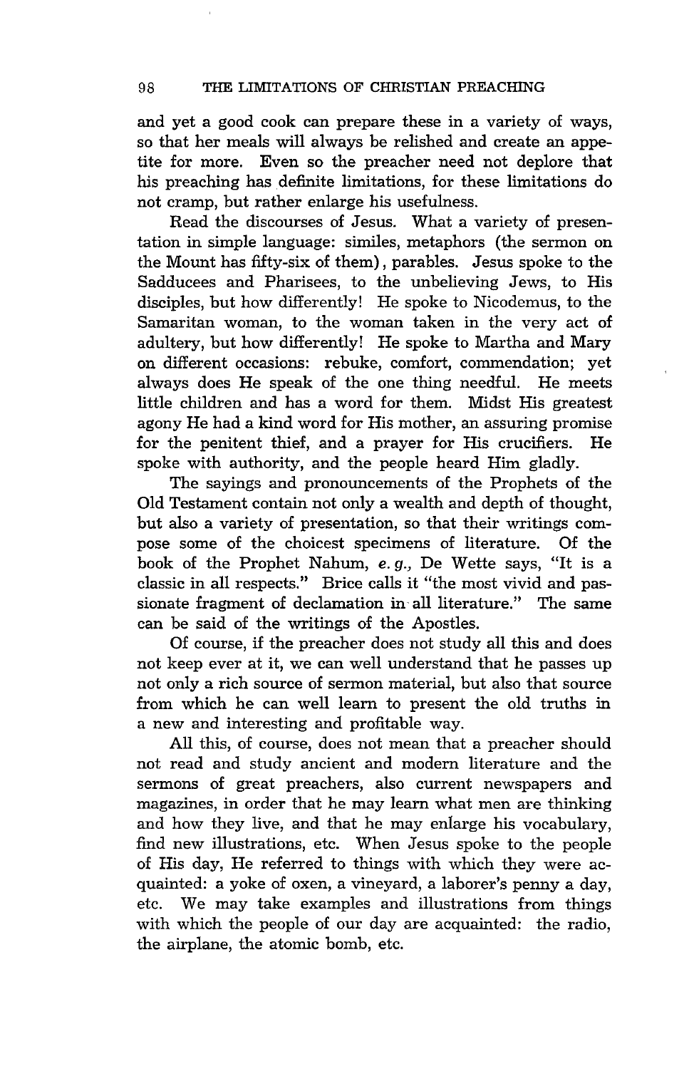and yet a good cook can prepare these in a variety of ways, so that her meals will always be relished and create an appetite for more. Even so the preacher need not deplore that his preaching has definite limitations, for these limitations do not cramp, but rather enlarge his usefulness.

Read the discourses of Jesus. What a variety of presentation in simple language: similes, metaphors (the sermon on the Mount has fifty-six of them), parables. Jesus spoke to the Sadducees and Pharisees, to the unbelieving Jews, to His disciples, but how differently! He spoke to Nicodemus, to the Samaritan woman, to the woman taken in the very act of adultery, but how differently! He spoke to Martha and Mary on different occasions: rebuke, comfort, commendation; yet always does He speak of the one thing needful. He meets little children and has a word for them. Midst His greatest agony He had a kind word for His mother, an assuring promise for the penitent thief, and a prayer for His crucifiers. He spoke with authority, and the people heard Him gladly.

The sayings and pronouncements of the Prophets of the Old Testament contain not only a wealth and depth of thought, but also a variety of presentation, so that their writings compose some of the choicest specimens of literature. Of the book of the Prophet Nahum, e. g., De Wette says, "It is a classic in all respects." Brice calls it "the most vivid and passionate fragment of declamation in all literature." The same can be said of the writings of the Apostles.

Of course, if the preacher does not study all this and does not keep ever at it, we can well understand that he passes up not only a rich source of sermon material, but also that source from which he can well learn to present the old truths in a new and interesting and profitable way.

All this, of course, does not mean that a preacher should not read and study ancient and modern literature and the sermons of great preachers, also current newspapers and magazines, in order that he may learn what men are thinking and how they live, and that he may enlarge his vocabulary, find new illustrations, etc. When Jesus spoke to the people of His day, He referred to things with which they were acquainted: a yoke of oxen, a vineyard, a laborer's penny a day, etc. We may take examples and illustrations from things with which the people of our day are acquainted: the radio, the airplane, the atomic bomb, etc.